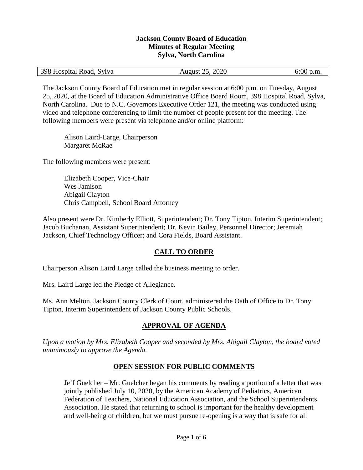#### **Jackson County Board of Education Minutes of Regular Meeting Sylva, North Carolina**

| 398 Hospital Road, Sylva<br>August 25, 2020<br>$6:00$ p.m. |  |
|------------------------------------------------------------|--|
|------------------------------------------------------------|--|

The Jackson County Board of Education met in regular session at 6:00 p.m. on Tuesday, August 25, 2020, at the Board of Education Administrative Office Board Room, 398 Hospital Road, Sylva, North Carolina. Due to N.C. Governors Executive Order 121, the meeting was conducted using video and telephone conferencing to limit the number of people present for the meeting. The following members were present via telephone and/or online platform:

Alison Laird-Large, Chairperson Margaret McRae

The following members were present:

Elizabeth Cooper, Vice-Chair Wes Jamison Abigail Clayton Chris Campbell, School Board Attorney

Also present were Dr. Kimberly Elliott, Superintendent; Dr. Tony Tipton, Interim Superintendent; Jacob Buchanan, Assistant Superintendent; Dr. Kevin Bailey, Personnel Director; Jeremiah Jackson, Chief Technology Officer; and Cora Fields, Board Assistant.

## **CALL TO ORDER**

Chairperson Alison Laird Large called the business meeting to order.

Mrs. Laird Large led the Pledge of Allegiance.

Ms. Ann Melton, Jackson County Clerk of Court, administered the Oath of Office to Dr. Tony Tipton, Interim Superintendent of Jackson County Public Schools.

## **APPROVAL OF AGENDA**

*Upon a motion by Mrs. Elizabeth Cooper and seconded by Mrs. Abigail Clayton, the board voted unanimously to approve the Agenda.*

### **OPEN SESSION FOR PUBLIC COMMENTS**

Jeff Guelcher – Mr. Guelcher began his comments by reading a portion of a letter that was jointly published July 10, 2020, by the American Academy of Pediatrics, American Federation of Teachers, National Education Association, and the School Superintendents Association. He stated that returning to school is important for the healthy development and well-being of children, but we must pursue re-opening is a way that is safe for all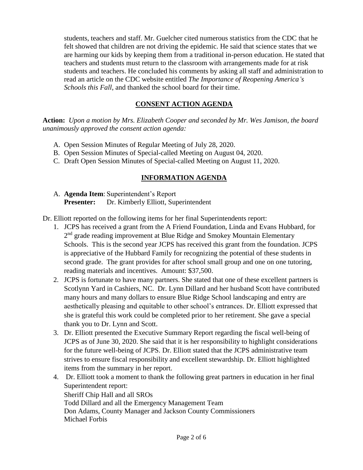students, teachers and staff. Mr. Guelcher cited numerous statistics from the CDC that he felt showed that children are not driving the epidemic. He said that science states that we are harming our kids by keeping them from a traditional in-person education. He stated that teachers and students must return to the classroom with arrangements made for at risk students and teachers. He concluded his comments by asking all staff and administration to read an article on the CDC website entitled *The Importance of Reopening America's Schools this Fall*, and thanked the school board for their time.

# **CONSENT ACTION AGENDA**

**Action:** *Upon a motion by Mrs. Elizabeth Cooper and seconded by Mr. Wes Jamison, the board unanimously approved the consent action agenda:*

- A. Open Session Minutes of Regular Meeting of July 28, 2020.
- B. Open Session Minutes of Special-called Meeting on August 04, 2020.
- C. Draft Open Session Minutes of Special-called Meeting on August 11, 2020.

# **INFORMATION AGENDA**

A. **Agenda Item**: Superintendent's Report **Presenter:** Dr. Kimberly Elliott, Superintendent

Dr. Elliott reported on the following items for her final Superintendents report:

- 1. JCPS has received a grant from the A Friend Foundation, Linda and Evans Hubbard, for 2<sup>nd</sup> grade reading improvement at Blue Ridge and Smokey Mountain Elementary Schools. This is the second year JCPS has received this grant from the foundation. JCPS is appreciative of the Hubbard Family for recognizing the potential of these students in second grade. The grant provides for after school small group and one on one tutoring, reading materials and incentives. Amount: \$37,500.
- 2. JCPS is fortunate to have many partners. She stated that one of these excellent partners is Scotlynn Yard in Cashiers, NC. Dr. Lynn Dillard and her husband Scott have contributed many hours and many dollars to ensure Blue Ridge School landscaping and entry are aesthetically pleasing and equitable to other school's entrances. Dr. Elliott expressed that she is grateful this work could be completed prior to her retirement. She gave a special thank you to Dr. Lynn and Scott.
- 3. Dr. Elliott presented the Executive Summary Report regarding the fiscal well-being of JCPS as of June 30, 2020. She said that it is her responsibility to highlight considerations for the future well-being of JCPS. Dr. Elliott stated that the JCPS administrative team strives to ensure fiscal responsibility and excellent stewardship. Dr. Elliott highlighted items from the summary in her report.
- 4. Dr. Elliott took a moment to thank the following great partners in education in her final Superintendent report: Sheriff Chip Hall and all SROs Todd Dillard and all the Emergency Management Team Don Adams, County Manager and Jackson County Commissioners Michael Forbis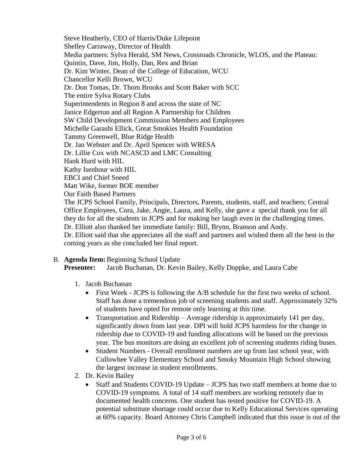Steve Heatherly, CEO of Harris/Duke Lifepoint Shelley Carraway, Director of Health Media partners: Sylva Herald, SM News, Crossroads Chronicle, WLOS, and the Plateau: Quintin, Dave, Jim, Holly, Dan, Rex and Brian Dr. Kim Winter, Dean of the College of Education, WCU Chancellor Kelli Brown, WCU Dr. Don Tomas, Dr. Thom Brooks and Scott Baker with SCC The entire Sylva Rotary Clubs Superintendents in Region 8 and across the state of NC Janice Edgerton and all Region A Partnership for Children SW Child Development Commission Members and Employees Michelle Garashi Ellick, Great Smokies Health Foundation Tammy Greenwell, Blue Ridge Health Dr. Jan Webster and Dr. April Spencer with WRESA Dr. Lillie Cox with NCASCD and LMC Consulting Hank Hurd with HIL Kathy Isenhour with HIL EBCI and Chief Sneed Matt Wike, former BOE member Our Faith Based Partners The JCPS School Family, Principals, Directors, Parents, students, staff, and teachers; Central Office Employees, Cora, Jake, Angie, Laura, and Kelly, she gave a special thank you for all they do for all the students in JCPS and for making her laugh even in the challenging times. Dr. Elliott also thanked her immediate family: Bill, Brynn, Branson and Andy. Dr. Elliott said that she appreciates all the staff and partners and wished them all the best in the coming years as she concluded her final report.

B. **Agenda Item:**Beginning School Update **Presenter:** Jacob Buchanan, Dr. Kevin Bailey, Kelly Doppke, and Laura Cabe

- 1. Jacob Buchanan
	- First Week JCPS is following the A/B schedule for the first two weeks of school. Staff has done a tremendous job of screening students and staff. Approximately 32% of students have opted for remote only learning at this time.
	- Transportation and Ridership Average ridership is approximately 141 per day, significantly down from last year. DPI will hold JCPS harmless for the change in ridership due to COVID-19 and funding allocations will be based on the previous year. The bus monitors are doing an excellent job of screening students riding buses.
	- Student Numbers Overall enrollment numbers are up from last school year, with Cullowhee Valley Elementary School and Smoky Mountain High School showing the largest increase in student enrollments.
- 2. Dr. Kevin Bailey
	- Staff and Students COVID-19 Update JCPS has two staff members at home due to COVID-19 symptoms. A total of 14 staff members are working remotely due to documented health concerns. One student has tested positive for COVID-19. A potential substitute shortage could occur due to Kelly Educational Services operating at 60% capacity. Board Attorney Chris Campbell indicated that this issue is out of the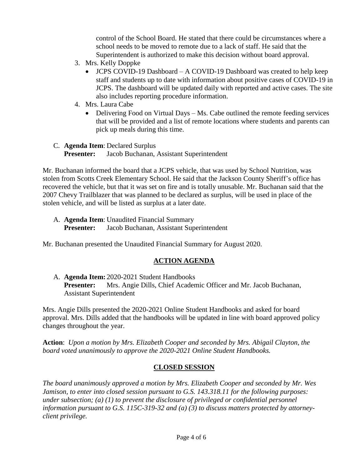control of the School Board. He stated that there could be circumstances where a school needs to be moved to remote due to a lack of staff. He said that the Superintendent is authorized to make this decision without board approval.

- 3. Mrs. Kelly Doppke
	- JCPS COVID-19 Dashboard A COVID-19 Dashboard was created to help keep staff and students up to date with information about positive cases of COVID-19 in JCPS. The dashboard will be updated daily with reported and active cases. The site also includes reporting procedure information.
- 4. Mrs. Laura Cabe
	- Delivering Food on Virtual Days Ms. Cabe outlined the remote feeding services that will be provided and a list of remote locations where students and parents can pick up meals during this time.
- C. **Agenda Item**: Declared Surplus **Presenter:** Jacob Buchanan, Assistant Superintendent

Mr. Buchanan informed the board that a JCPS vehicle, that was used by School Nutrition, was stolen from Scotts Creek Elementary School. He said that the Jackson County Sheriff's office has recovered the vehicle, but that it was set on fire and is totally unusable. Mr. Buchanan said that the 2007 Chevy Trailblazer that was planned to be declared as surplus, will be used in place of the stolen vehicle, and will be listed as surplus at a later date.

A. **Agenda Item**: Unaudited Financial Summary **Presenter:** Jacob Buchanan, Assistant Superintendent

Mr. Buchanan presented the Unaudited Financial Summary for August 2020.

## **ACTION AGENDA**

A. **Agenda Item:** 2020-2021 Student Handbooks **Presenter:** Mrs. Angie Dills, Chief Academic Officer and Mr. Jacob Buchanan, Assistant Superintendent

Mrs. Angie Dills presented the 2020-2021 Online Student Handbooks and asked for board approval. Mrs. Dills added that the handbooks will be updated in line with board approved policy changes throughout the year.

**Action**: *Upon a motion by Mrs. Elizabeth Cooper and seconded by Mrs. Abigail Clayton, the board voted unanimously to approve the 2020-2021 Online Student Handbooks.*

## **CLOSED SESSION**

*The board unanimously approved a motion by Mrs. Elizabeth Cooper and seconded by Mr. Wes Jamison, to enter into closed session pursuant to G.S. 143.318.11 for the following purposes: under subsection; (a) (1) to prevent the disclosure of privileged or confidential personnel information pursuant to G.S. 115C-319-32 and (a) (3) to discuss matters protected by attorneyclient privilege.*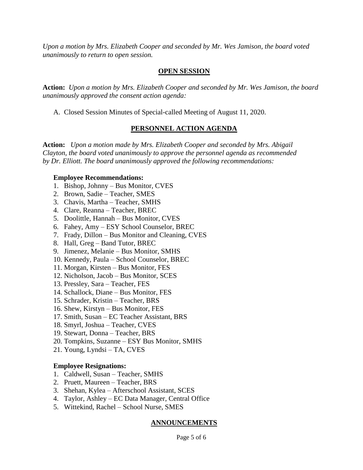*Upon a motion by Mrs. Elizabeth Cooper and seconded by Mr. Wes Jamison, the board voted unanimously to return to open session.*

### **OPEN SESSION**

**Action:** *Upon a motion by Mrs. Elizabeth Cooper and seconded by Mr. Wes Jamison, the board unanimously approved the consent action agenda:*

A. Closed Session Minutes of Special-called Meeting of August 11, 2020.

### **PERSONNEL ACTION AGENDA**

**Action:** *Upon a motion made by Mrs. Elizabeth Cooper and seconded by Mrs. Abigail Clayton, the board voted unanimously to approve the personnel agenda as recommended by Dr. Elliott. The board unanimously approved the following recommendations:*

#### **Employee Recommendations:**

- 1. Bishop, Johnny Bus Monitor, CVES
- 2. Brown, Sadie Teacher, SMES
- 3. Chavis, Martha Teacher, SMHS
- 4. Clare, Reanna Teacher, BREC
- 5. Doolittle, Hannah Bus Monitor, CVES
- 6. Fahey, Amy ESY School Counselor, BREC
- 7. Frady, Dillon Bus Monitor and Cleaning, CVES
- 8. Hall, Greg Band Tutor, BREC
- 9. Jimenez, Melanie Bus Monitor, SMHS
- 10. Kennedy, Paula School Counselor, BREC
- 11. Morgan, Kirsten Bus Monitor, FES
- 12. Nicholson, Jacob Bus Monitor, SCES
- 13. Pressley, Sara Teacher, FES
- 14. Schallock, Diane Bus Monitor, FES
- 15. Schrader, Kristin Teacher, BRS
- 16. Shew, Kirstyn Bus Monitor, FES
- 17. Smith, Susan EC Teacher Assistant, BRS
- 18. Smyrl, Joshua Teacher, CVES
- 19. Stewart, Donna Teacher, BRS
- 20. Tompkins, Suzanne ESY Bus Monitor, SMHS
- 21. Young, Lyndsi TA, CVES

### **Employee Resignations:**

- 1. Caldwell, Susan Teacher, SMHS
- 2. Pruett, Maureen Teacher, BRS
- 3. Shehan, Kylea Afterschool Assistant, SCES
- 4. Taylor, Ashley EC Data Manager, Central Office
- 5. Wittekind, Rachel School Nurse, SMES

### **ANNOUNCEMENTS**